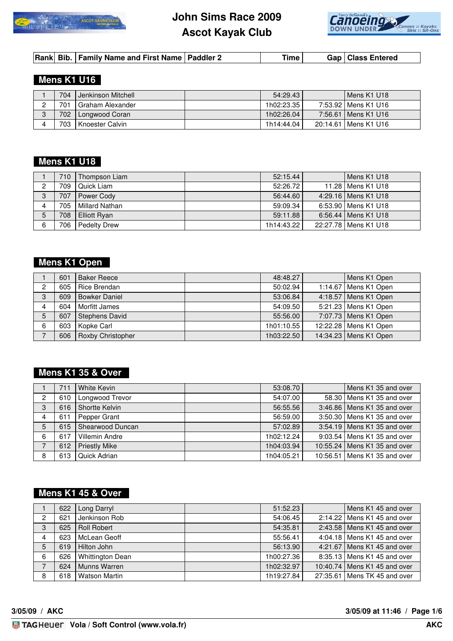



|  |  | Rank Bib.   Family Name and First Name   Paddler 2 |  | Time ⊧ |  | Gap   Class Entered |
|--|--|----------------------------------------------------|--|--------|--|---------------------|
|--|--|----------------------------------------------------|--|--------|--|---------------------|

#### **Mens K1 U16**

| 704 | Jenkinson Mitchell | 54:29.43   | Mens K1 U18            |
|-----|--------------------|------------|------------------------|
| 701 | Graham Alexander   | 1h02:23.35 | 7:53.92   Mens K1 U16  |
| 702 | Longwood Coran     | 1h02:26.04 | 7:56.61   Mens K1 U16  |
| 703 | Knoester Calvin    | 1h14:44.04 | 20:14.61   Mens K1 U16 |

### **Mens K1 U18**

|   | 710 L | Thompson Liam       | 52:15.44   | Mens K1 U18            |
|---|-------|---------------------|------------|------------------------|
| ◠ | 709   | Quick Liam          | 52:26.72   | 11.28   Mens K1 U18    |
| 3 | 707   | Power Cody          | 56:44.60   | 4:29.16   Mens K1 U18  |
| 4 | 705   | Millard Nathan      | 59:09.34   | 6:53.90 Mens K1 U18    |
| 5 | 708   | Elliott Ryan        | 59:11.88   | 6:56.44   Mens K1 U18  |
| 6 | 706   | <b>Pedelty Drew</b> | 1h14:43.22 | 22:27.78   Mens K1 U18 |

### **Mens K1 Open**

|                | 601   | <b>Baker Reece</b>    | 48:48.27   | Mens K1 Open           |
|----------------|-------|-----------------------|------------|------------------------|
| o              | 605   | Rice Brendan          | 50:02.94   | 1:14.67   Mens K1 Open |
| 3              | 609   | <b>Bowker Daniel</b>  | 53:06.84   | 4:18.57   Mens K1 Open |
| $\overline{4}$ | 604   | Morfitt James         | 54:09.50   | 5:21.23   Mens K1 Open |
| 5              | 607   | <b>Stephens David</b> | 55:56.00   | 7:07.73   Mens K1 Open |
| 6              | 603   | Kopke Carl            | 1h01:10.55 | 12:22.28 Mens K1 Open  |
|                | 606 l | Roxby Christopher     | 1h03:22.50 | 14:34.23 Mens K1 Open  |

#### **Mens K1 35 & Over**

|                | 711   | White Kevin          | 53:08.70   | Mens K1 35 and over            |
|----------------|-------|----------------------|------------|--------------------------------|
| $\overline{2}$ | 610   | Longwood Trevor      | 54:07.00   | 58.30 Mens K1 35 and over      |
| 3              | 616   | Shortte Kelvin       | 56:55.56   | 3:46.86   Mens K1 35 and over  |
| 4              | 611   | Pepper Grant         | 56:59.00   | 3:50.30   Mens K1 35 and over  |
| 5              | $615$ | Shearwood Duncan     | 57:02.89   | 3:54.19   Mens K1 35 and over  |
| 6              | 617   | Villemin Andre       | 1h02:12.24 | 9:03.54   Mens K1 35 and over  |
|                | 612   | <b>Priestly Mike</b> | 1h04:03.94 | 10:55.24   Mens K1 35 and over |
| 8              | 613   | Quick Adrian         | 1h04:05.21 | 10:56.51   Mens K1 35 and over |

### **Mens K1 45 & Over**

|                | 622 | Long Darryl             | 51:52.23   | Mens K1 45 and over            |
|----------------|-----|-------------------------|------------|--------------------------------|
| $\overline{2}$ | 621 | Jenkinson Rob           | 54:06.45   | 2:14.22   Mens K1 45 and over  |
| 3              | 625 | <b>Roll Robert</b>      | 54:35.81   | 2:43.58   Mens K1 45 and over  |
| 4              | 623 | McLean Geoff            | 55:56.41   | 4:04.18   Mens K1 45 and over  |
| 5              | 619 | Hilton John             | 56:13.90   | 4:21.67   Mens K1 45 and over  |
| 6              | 626 | <b>Whittington Dean</b> | 1h00:27.36 | 8:35.13   Mens K1 45 and over  |
| 7              | 624 | Munns Warren            | 1h02:32.97 | 10:40.74   Mens K1 45 and over |
| 8              | 618 | <b>Watson Martin</b>    | 1h19:27.84 | 27:35.61   Mens TK 45 and over |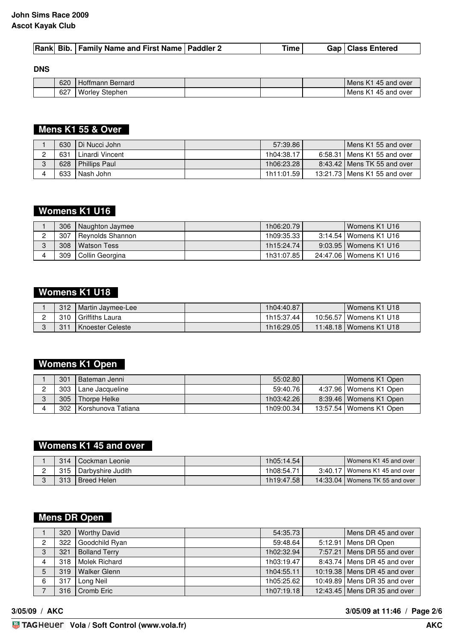|--|

**DNS**

| 620        | Bernard<br>Hottmann   |  | Mens K1<br>45 and over    |
|------------|-----------------------|--|---------------------------|
| 007<br>OZ. | <br>Stephen<br>Worley |  | over<br>45 and<br>Mens K1 |

 **Mens K1 55 & Over** 

| 630 | Di Nucci John        | 57:39.86   | Mens K1 55 and over            |
|-----|----------------------|------------|--------------------------------|
| 631 | Linardi Vincent      | 1h04:38.17 | 6:58.31   Mens K1 55 and over  |
| 628 | <b>Phillips Paul</b> | 1h06:23.28 | 8:43.42   Mens TK 55 and over  |
| 633 | Nash John            | 1h11:01.59 | 13:21.73   Mens K1 55 and over |

# **Womens K1 U16**

| 306 | Naughton Jaymee  | 1h06:20.79   | Womens K1 U16            |
|-----|------------------|--------------|--------------------------|
| 307 | Reynolds Shannon | 1h09:35.33   | 3:14.54   Womens K1 U16  |
| 308 | Watson Tess      | 1h15:24.74   | 9:03.95   Womens K1 U16  |
| 309 | Collin Georgina  | 1h31:07.85 l | 24:47.06   Womens K1 U16 |

## **Womens K1 U18**

| 312 | Martin Jaymee-Lee  | 1h04:40.87 | Womens K1 U18            |
|-----|--------------------|------------|--------------------------|
| 310 | I Griffiths Laura  | 1h15:37.44 | 10:56.57   Womens K1 U18 |
| 311 | I Knoester Celeste | 1h16:29.05 | 11:48.18   Womens K1 U18 |

## **Womens K1 Open**

| 301 | Bateman Jenni        | 55:02.80   | Womens K1 Open            |
|-----|----------------------|------------|---------------------------|
| 303 | Lane Jacqueline      | 59:40.76   | 4:37.96   Womens K1 Open  |
| 305 | Thorpe Helke         | 1h03:42.26 | 8:39.46   Womens K1 Open  |
| 302 | l Korshunova Tatiana | 1h09:00.34 | 13:57.54   Womens K1 Open |

# **Womens K1 45 and over**

| 314 | l Cockman Leonie        | 1h05:14.54 | Womens K1 45 and over            |
|-----|-------------------------|------------|----------------------------------|
|     | 315   Darbyshire Judith | 1h08:54.71 | 3:40.17   Womens K1 45 and over  |
| 313 | Breed Helen             | 1h19:47.58 | 14:33.04   Womens TK 55 and over |

# **Mens DR Open**

|   | 320 | <b>Worthy David</b>  | 54:35.73   |         | Mens DR 45 and over            |
|---|-----|----------------------|------------|---------|--------------------------------|
| 2 | 322 | Goodchild Ryan       | 59:48.64   | 5:12.91 | Mens DR Open                   |
| 3 | 321 | <b>Bolland Terry</b> | 1h02:32.94 |         | 7:57.21   Mens DR 55 and over  |
| 4 | 318 | Molek Richard        | 1h03:19.47 |         | 8:43.74   Mens DR 45 and over  |
| 5 | 319 | <b>Walker Glenn</b>  | 1h04:55.11 |         | 10:19.38   Mens DR 45 and over |
| 6 | 317 | Long Neil            | 1h05:25.62 |         | 10:49.89   Mens DR 35 and over |
|   | 316 | Cromb Eric           | 1h07:19.18 |         | 12:43.45   Mens DR 35 and over |

**3/05/09 / AKC 3/05/09 at 11:46 / Page 2/6**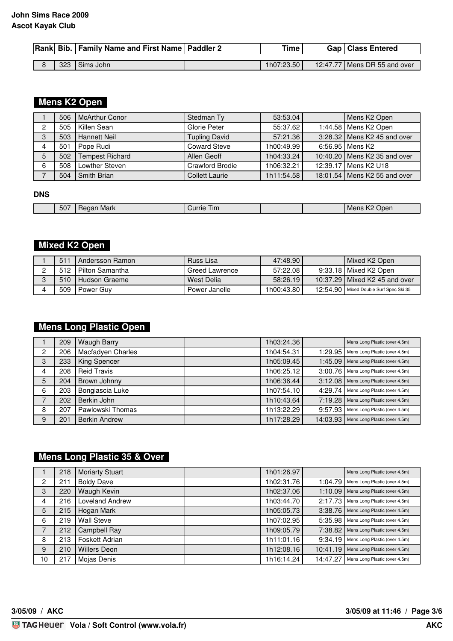|  | Rank Bib.   Family Name and First Name   Paddler 2 | <b>Time</b> | <b>Gap   Class Entered</b>     |
|--|----------------------------------------------------|-------------|--------------------------------|
|  |                                                    |             |                                |
|  | 323 Sims John                                      | 1h07:23.50  | 12:47.77   Mens DR 55 and over |

## **Mens K2 Open**

|   | 506 | <b>McArthur Conor</b>  | Stedman Ty             | 53:53.04   | Mens K2 Open                   |
|---|-----|------------------------|------------------------|------------|--------------------------------|
| 2 | 505 | Killen Sean            | Glorie Peter           | 55:37.62   | 1:44.58   Mens K2 Open         |
| 3 | 503 | <b>Hannett Neil</b>    | <b>Tupling David</b>   | 57:21.36   | 3:28.32   Mens K2 45 and over  |
|   | 501 | Pope Rudi              | <b>Coward Steve</b>    | 1h00:49.99 | 6:56.95   Mens K2              |
|   | 502 | <b>Tempest Richard</b> | Allen Geoff            | 1h04:33.24 | 10:40.20 Mens K2 35 and over   |
| 6 | 508 | Lowther Steven         | <b>Crawford Brodie</b> | 1h06:32.21 | 12:39.17   Mens K2 U18         |
|   | 504 | Smith Brian            | <b>Collett Laurie</b>  | 1h11:54.58 | 18:01.54   Mens K2 55 and over |

#### **DNS**

| 507 | Mark<br>uа.<br>__ | Currie<br>1 im |  | $\overline{\phantom{a}}$<br>Jper<br>…Men⊂ |
|-----|-------------------|----------------|--|-------------------------------------------|

#### **Mixed K2 Open**

| 511   | Andersson Ramon | Russ Lisa      | 47:48.90   | l Mixed K2 Open                          |
|-------|-----------------|----------------|------------|------------------------------------------|
| 512 I | Pilton Samantha | Greed Lawrence | 57:22.08   | 9:33.18   Mixed K2 Open                  |
| 510   | Hudson Graeme   | l West Delia   | 58:26.19   | 10:37.29   Mixed K2 45 and over          |
| 509   | Power Guv       | Power Janelle  | 1h00:43.80 | 12:54.90   Mixed Double Surf Spec Ski 35 |

## **Mens Long Plastic Open**

|                | 209 | <b>Waugh Barry</b>   | 1h03:24.36             | Mens Long Plastic (over 4.5m)            |
|----------------|-----|----------------------|------------------------|------------------------------------------|
| $\overline{2}$ | 206 | Macfadyen Charles    | 1h04:54.31<br>1:29.95  | Mens Long Plastic (over 4.5m)            |
| 3              | 233 | King Spencer         | 1h05:09.45             | 1:45.09<br>Mens Long Plastic (over 4.5m) |
| 4              | 208 | <b>Reid Travis</b>   | 1h06:25.12<br>3:00.76  | Mens Long Plastic (over 4.5m)            |
| 5              | 204 | Brown Johnny         | 1h06:36.44<br>3:12.08  | Mens Long Plastic (over 4.5m)            |
| 6              | 203 | Bongiascia Luke      | 1h07:54.10<br>4:29.74  | Mens Long Plastic (over 4.5m)            |
| ⇁              | 202 | Berkin John          | 1h10:43.64<br>7:19.28  | Mens Long Plastic (over 4.5m)            |
| 8              | 207 | Pawlowski Thomas     | 1h13:22.29<br>9:57.93  | Mens Long Plastic (over 4.5m)            |
| 9              | 201 | <b>Berkin Andrew</b> | 1h17:28.29<br>14:03.93 | Mens Long Plastic (over 4.5m)            |

## **Mens Long Plastic 35 & Over**

|    | 218 | <b>Moriarty Stuart</b> | 1h01:26.97 |          | Mens Long Plastic (over 4.5m) |
|----|-----|------------------------|------------|----------|-------------------------------|
| 2  | 211 | <b>Boldy Dave</b>      | 1h02:31.76 | 1:04.79  | Mens Long Plastic (over 4.5m) |
| 3  | 220 | Waugh Kevin            | 1h02:37.06 | 1:10.09  | Mens Long Plastic (over 4.5m) |
| 4  | 216 | Loveland Andrew        | 1h03:44.70 | 2:17.73  | Mens Long Plastic (over 4.5m) |
| 5  | 215 | Hogan Mark             | 1h05:05.73 | 3:38.76  | Mens Long Plastic (over 4.5m) |
| 6  | 219 | <b>Wall Steve</b>      | 1h07:02.95 | 5:35.98  | Mens Long Plastic (over 4.5m) |
| 7  | 212 | <b>Campbell Ray</b>    | 1h09:05.79 | 7:38.82  | Mens Long Plastic (over 4.5m) |
| 8  | 213 | Foskett Adrian         | 1h11:01.16 | 9:34.19  | Mens Long Plastic (over 4.5m) |
| 9  | 210 | <b>Willers Deon</b>    | 1h12:08.16 | 10:41.19 | Mens Long Plastic (over 4.5m) |
| 10 | 217 | Mojas Denis            | 1h16:14.24 | 14:47.27 | Mens Long Plastic (over 4.5m) |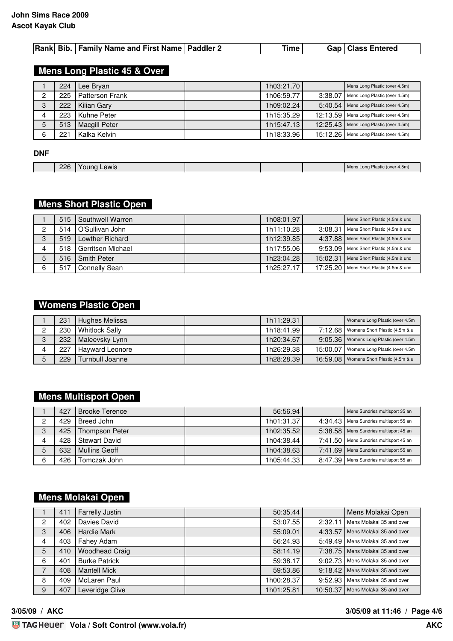|  |  |  | Rank Bib.   Family Name and First Name   Paddler 2 |  | Time |  | Gap   Class Entered |
|--|--|--|----------------------------------------------------|--|------|--|---------------------|
|--|--|--|----------------------------------------------------|--|------|--|---------------------|

#### **Mens Long Plastic 45 & Over**

|   | 224 | Lee Brvan              | 1h03:21.70 |          | Mens Long Plastic (over 4.5m)          |
|---|-----|------------------------|------------|----------|----------------------------------------|
| ŋ | 225 | <b>Patterson Frank</b> | 1h06:59.77 | 3:38.07  | Mens Long Plastic (over 4.5m)          |
| 3 | 222 | Kilian Gary            | 1h09:02.24 | 5:40.54  | Mens Long Plastic (over 4.5m)          |
|   | 223 | Kuhne Peter            | 1h15:35.29 |          | 12:13.59 Mens Long Plastic (over 4.5m) |
| 5 | 513 | <b>Macgill Peter</b>   | 1h15:47.13 | 12:25.43 | Mens Long Plastic (over 4.5m)          |
| 6 | 221 | Kalka Kelvin           | 1h18:33.96 | 15:12.26 | Mens Long Plastic (over 4.5m)          |

#### **DNF**

| 226 | Lewis<br><u>ound</u> |  | Plastic (over 4.5m)<br>ns Long. |
|-----|----------------------|--|---------------------------------|

### **Mens Short Plastic Open**

|   | 515 <sub>1</sub> | Southwell Warren  | 1h08:01.97 |          | Mens Short Plastic (4.5m & und |
|---|------------------|-------------------|------------|----------|--------------------------------|
|   | 514              | O'Sullivan John   | 1h11:10.28 | 3:08.31  | Mens Short Plastic (4.5m & und |
| Ω | 519              | Lowther Richard   | 1h12:39.85 | 4:37.88  | Mens Short Plastic (4.5m & und |
|   | 518              | Gerritsen Michael | 1h17:55.06 | 9:53.09  | Mens Short Plastic (4.5m & und |
| 5 | $516$            | I Smith Peter     | 1h23:04.28 | 15:02.31 | Mens Short Plastic (4.5m & und |
| 6 | 517              | Connelly Sean     | 1h25:27.17 | 17:25.20 | Mens Short Plastic (4.5m & und |

#### **Womens Plastic Open**

|   | 231 | Hughes Melissa         | 1h11:29.31 |          | Womens Long Plastic (over 4.5m            |
|---|-----|------------------------|------------|----------|-------------------------------------------|
|   | 230 | <b>Whitlock Sally</b>  | 1h18:41.99 |          | 7:12.68   Womens Short Plastic (4.5m & u  |
| O | 232 | Maleevsky Lynn         | 1h20:34.67 |          | 9:05.36   Womens Long Plastic (over 4.5m) |
| 4 | 227 | <b>Hayward Leonore</b> | 1h26:29.38 | 15:00.07 | Womens Long Plastic (over 4.5m            |
|   | 229 | Turnbull Joanne        | 1h28:28.39 |          | 16:59.08   Womens Short Plastic (4.5m & u |

### **Mens Multisport Open**

|        | 427 | <b>Brooke Terence</b> | 56:56.94   |         | Mens Sundries multisport 35 an           |
|--------|-----|-----------------------|------------|---------|------------------------------------------|
|        | 429 | Breed John            | 1h01:31.37 |         | 4:34.43   Mens Sundries multisport 55 an |
| ີ<br>C | 425 | Thompson Peter        | 1h02:35.52 |         | 5:38.58   Mens Sundries multisport 45 an |
|        | 428 | Stewart David         | 1h04:38.44 |         | 7:41.50   Mens Sundries multisport 45 an |
|        | 632 | Mullins Geoff         | 1h04:38.63 |         | 7:41.69   Mens Sundries multisport 55 an |
| 6      | 426 | Tomczak John          | 1h05:44.33 | 8:47.39 | Mens Sundries multisport 55 an           |

## **Mens Molakai Open**

|   | 411 | Farrelly Justin       | 50:35.44   |          | Mens Molakai Open        |
|---|-----|-----------------------|------------|----------|--------------------------|
| 2 | 402 | Davies David          | 53:07.55   | 2:32.11  | Mens Molakai 35 and over |
| 3 | 406 | <b>Hardie Mark</b>    | 55:09.01   | 4:33.57  | Mens Molakai 35 and over |
| 4 | 403 | Fahey Adam            | 56:24.93   | 5:49.49  | Mens Molakai 35 and over |
| 5 | 410 | <b>Woodhead Craig</b> | 58:14.19   | 7:38.75  | Mens Molakai 35 and over |
| 6 | 401 | <b>Burke Patrick</b>  | 59:38.17   | 9:02.73  | Mens Molakai 35 and over |
| 7 | 408 | <b>Mantell Mick</b>   | 59:53.86   | 9:18.42  | Mens Molakai 35 and over |
| 8 | 409 | McLaren Paul          | 1h00:28.37 | 9:52.93  | Mens Molakai 35 and over |
| 9 | 407 | Leveridge Clive       | 1h01:25.81 | 10:50.37 | Mens Molakai 35 and over |

#### **3/05/09 / AKC 3/05/09 at 11:46 / Page 4/6**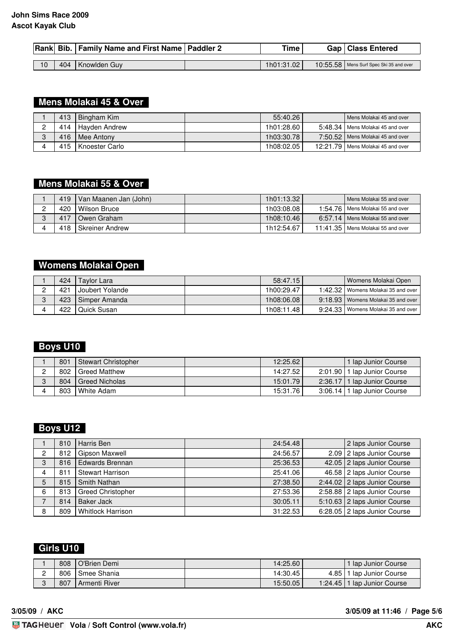|    |     | Rank Bib.   Family Name and First Name   Paddler 2 | <b>Time</b> | Gap   Class Entered                     |
|----|-----|----------------------------------------------------|-------------|-----------------------------------------|
|    |     |                                                    |             |                                         |
| 10 | 404 | Knowlden Guy                                       | 1h01:31.02  | 10:55.58 Mens Surf Spec Ski 35 and over |

#### **Mens Molakai 45 & Over**

| 413 | Bingham Kim         | 55:40.26   | Mens Molakai 45 and over            |
|-----|---------------------|------------|-------------------------------------|
|     | 414   Hayden Andrew | 1h01:28.60 | 5:48.34   Mens Molakai 45 and over  |
| 416 | l Mee Antonv        | 1h03:30.78 | 7:50.52 Mens Molakai 45 and over    |
| 415 | I Knoester Carlo    | 1h08:02.05 | 12:21.79   Mens Molakai 45 and over |

### **Mens Molakai 55 & Over**

| 419 | l Van Maanen Jan (John). | 1h01:13.32 | Mens Molakai 55 and over            |
|-----|--------------------------|------------|-------------------------------------|
| 420 | I Wilson Bruce           | 1h03:08.08 | 1:54.76   Mens Molakai 55 and over  |
| 417 | I Owen Graham            | 1h08:10.46 | 6:57.14   Mens Molakai 55 and over  |
| 418 | I Skreiner Andrew        | 1h12:54.67 | 11:41.35   Mens Molakai 55 and over |

### **Womens Molakai Open**

| 424 | Tavlor Lara       | 58:47.15   | Womens Molakai Open                  |
|-----|-------------------|------------|--------------------------------------|
| 421 | I Joubert Yolande | 1h00:29.47 | 1:42.32   Womens Molakai 35 and over |
| 423 | I Simper Amanda   | 1h08:06.08 | 9:18.93   Womens Molakai 35 and over |
| 422 | I Quick Susan     | 1h08:11.48 | 9:24.33   Womens Molakai 35 and over |

### **Boys U10**

| 801 | Stewart Christopher | 12:25.62 | 1 lap Junior Course           |
|-----|---------------------|----------|-------------------------------|
| 802 | I Greed Matthew     | 14:27.52 | 2:01.90   1 lap Junior Course |
| 804 | I Greed Nicholas    | 15:01.79 | 2:36.17   1 lap Junior Course |
| 803 | <b>I</b> White Adam | 15:31.76 | 3:06.14   1 lap Junior Course |

#### **Boys U12**

|                | 810   | Harris Ben               | 24:54.48 | 2 laps Junior Course           |
|----------------|-------|--------------------------|----------|--------------------------------|
| $\overline{2}$ | 812 l | Gipson Maxwell           | 24:56.57 | 2.09 2 laps Junior Course      |
| 3              | 816   | <b>Edwards Brennan</b>   | 25:36.53 | 42.05 2 laps Junior Course     |
| 4              | 811   | <b>Stewart Harrison</b>  | 25:41.06 | 46.58 2 laps Junior Course     |
| 5              | 815   | Smith Nathan             | 27:38.50 | $2:44.02$ 2 laps Junior Course |
| 6              | 813   | <b>Greed Christopher</b> | 27:53.36 | 2:58.88   2 laps Junior Course |
|                | 814   | Baker Jack               | 30:05.11 | 5:10.63   2 laps Junior Course |
| 8              | 809   | <b>Whitlock Harrison</b> | 31:22.53 | 6:28.05 2 laps Junior Course   |

## **Girls U10**

|             | 808 | O'Brien Demi  | 14:25.60 |      | l Iap Junior Course           |
|-------------|-----|---------------|----------|------|-------------------------------|
| $\sim$<br>- | 806 | Smee Shania   | 14:30.45 | 4.85 | I lap Junior Course           |
| $\sqrt{2}$  | 807 | Armenti River | 15:50.05 |      | 1:24.45   1 lap Junior Course |

**3/05/09 / AKC 3/05/09 at 11:46 / Page 5/6**